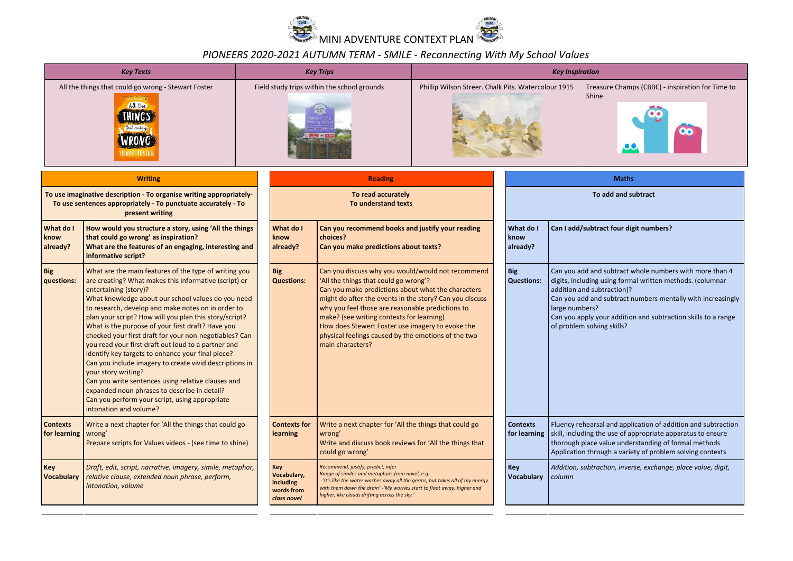

## *PIONEERS 2020-2021 AUTUMN TERM - SMILE - Reconnecting With My School Values*

| <b>Key Texts</b>                                                                                                                                                      |                                                                                                                                                                                                                                                                                                                                                                                                                                                                                                                                                                                                                                                                                                                                                                                                              | <b>Key Trips</b>                                             |                                                                                                                                                                                                                                                                                                                                                                                                                                             | <b>Key Inspiration</b>                                                                                            |  |                                                           |                                                                            |                                                                                                                                                                                                                                                      |
|-----------------------------------------------------------------------------------------------------------------------------------------------------------------------|--------------------------------------------------------------------------------------------------------------------------------------------------------------------------------------------------------------------------------------------------------------------------------------------------------------------------------------------------------------------------------------------------------------------------------------------------------------------------------------------------------------------------------------------------------------------------------------------------------------------------------------------------------------------------------------------------------------------------------------------------------------------------------------------------------------|--------------------------------------------------------------|---------------------------------------------------------------------------------------------------------------------------------------------------------------------------------------------------------------------------------------------------------------------------------------------------------------------------------------------------------------------------------------------------------------------------------------------|-------------------------------------------------------------------------------------------------------------------|--|-----------------------------------------------------------|----------------------------------------------------------------------------|------------------------------------------------------------------------------------------------------------------------------------------------------------------------------------------------------------------------------------------------------|
| All the things that could go wrong - Stewart Foster<br>ara iyo saaree oo<br>Hii Kilibatt B <b>irr</b><br>All the<br>IHINGS<br>that could go<br>IRONG<br>STEWART FOSTE |                                                                                                                                                                                                                                                                                                                                                                                                                                                                                                                                                                                                                                                                                                                                                                                                              | Field study trips within the school grounds                  |                                                                                                                                                                                                                                                                                                                                                                                                                                             | Phillip Wilson Streer. Chalk Pits. Watercolour 1915                                                               |  | Treasure Champs (CBBC) - inspiration for Time to<br>Shine |                                                                            |                                                                                                                                                                                                                                                      |
| <b>Writing</b>                                                                                                                                                        |                                                                                                                                                                                                                                                                                                                                                                                                                                                                                                                                                                                                                                                                                                                                                                                                              | <b>Reading</b>                                               |                                                                                                                                                                                                                                                                                                                                                                                                                                             |                                                                                                                   |  | <b>Maths</b>                                              |                                                                            |                                                                                                                                                                                                                                                      |
| To use imaginative description - To organise writing appropriately-<br>To use sentences appropriately - To punctuate accurately - To<br>present writing               |                                                                                                                                                                                                                                                                                                                                                                                                                                                                                                                                                                                                                                                                                                                                                                                                              | To read accurately<br>To understand texts                    |                                                                                                                                                                                                                                                                                                                                                                                                                                             | To add and subtract                                                                                               |  |                                                           |                                                                            |                                                                                                                                                                                                                                                      |
| What do I<br>know<br>already?                                                                                                                                         | How would you structure a story, using 'All the things<br>that could go wrong' as inspiration?<br>What are the features of an engaging, interesting and<br>informative script?                                                                                                                                                                                                                                                                                                                                                                                                                                                                                                                                                                                                                               | What do I<br>know<br>already?                                | Can you recommend books and justify your reading<br>choices?<br>Can you make predictions about texts?                                                                                                                                                                                                                                                                                                                                       |                                                                                                                   |  | What do I<br>know<br>already?                             | Can I add/subtract four digit numbers?                                     |                                                                                                                                                                                                                                                      |
| <b>Big</b><br>questions:                                                                                                                                              | What are the main features of the type of writing you<br>are creating? What makes this informative (script) or<br>entertaining (story)?<br>What knowledge about our school values do you need<br>to research, develop and make notes on in order to<br>plan your script? How will you plan this story/script?<br>What is the purpose of your first draft? Have you<br>checked your first draft for your non-negotiables? Can<br>you read your first draft out loud to a partner and<br>identify key targets to enhance your final piece?<br>Can you include imagery to create vivid descriptions in<br>your story writing?<br>Can you write sentences using relative clauses and<br>expanded noun phrases to describe in detail?<br>Can you perform your script, using appropriate<br>intonation and volume? | <b>Big</b><br><b>Questions:</b>                              | Can you discuss why you would/would not recommend<br>'All the things that could go wrong'?<br>Can you make predictions about what the characters<br>might do after the events in the story? Can you discuss<br>why you feel those are reasonable predictions to<br>make? (see writing contexts for learning)<br>How does Stewert Foster use imagery to evoke the<br>physical feelings caused by the emotions of the two<br>main characters? |                                                                                                                   |  | <b>Big</b><br><b>Questions:</b>                           | addition and subtraction)?<br>large numbers?<br>of problem solving skills? | Can you add and subtract whole numbers with more than 4<br>digits, including using formal written methods. (columnar<br>Can you add and subtract numbers mentally with increasingly<br>Can you apply your addition and subtraction skills to a range |
| <b>Contexts</b><br>for learning                                                                                                                                       | Write a next chapter for 'All the things that could go<br>wrong'<br>Prepare scripts for Values videos - (see time to shine)                                                                                                                                                                                                                                                                                                                                                                                                                                                                                                                                                                                                                                                                                  | <b>Contexts for</b><br><b>learning</b>                       | wrong'<br>could go wrong'                                                                                                                                                                                                                                                                                                                                                                                                                   | Write a next chapter for 'All the things that could go<br>Write and discuss book reviews for 'All the things that |  | <b>Contexts</b><br>for learning                           |                                                                            | Fluency rehearsal and application of addition and subtraction<br>skill, including the use of appropriate apparatus to ensure<br>thorough place value understanding of formal methods<br>Application through a variety of problem solving contexts    |
| <b>Key</b><br><b>Vocabulary</b>                                                                                                                                       | Draft, edit, script, narrative, imagery, simile, metaphor,<br>relative clause, extended noun phrase, perform,<br>intonation, volume                                                                                                                                                                                                                                                                                                                                                                                                                                                                                                                                                                                                                                                                          | Key<br>Vocabulary,<br>including<br>words from<br>class novel | Recommend, justify, predict, infer<br>Range of similes and metaphors from novel, e.g.<br>-'It's like the water washes away all the germs, but takes all of my energy<br>with them down the drain' -'My worries start to float away, higher and<br>higher, like clouds drifting across the sky.'                                                                                                                                             |                                                                                                                   |  | <b>Key</b><br><b>Vocabulary</b>                           | column                                                                     | Addition, subtraction, inverse, exchange, place value, digit,                                                                                                                                                                                        |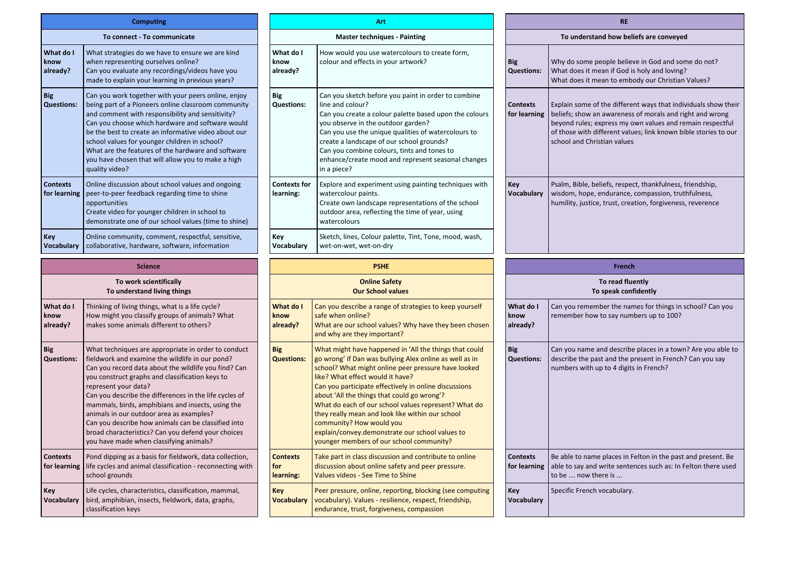|                                 | <b>Computing</b>                                                                                                                                                                                                                                                                                                                                                                                                                                                                                                                                             |  |                                   |  |  |
|---------------------------------|--------------------------------------------------------------------------------------------------------------------------------------------------------------------------------------------------------------------------------------------------------------------------------------------------------------------------------------------------------------------------------------------------------------------------------------------------------------------------------------------------------------------------------------------------------------|--|-----------------------------------|--|--|
|                                 | To connect - To communicate                                                                                                                                                                                                                                                                                                                                                                                                                                                                                                                                  |  |                                   |  |  |
| What do I<br>know<br>already?   | What strategies do we have to ensure we are kind<br>when representing ourselves online?<br>Can you evaluate any recordings/videos have you<br>made to explain your learning in previous years?                                                                                                                                                                                                                                                                                                                                                               |  |                                   |  |  |
| <b>Big</b><br><b>Questions:</b> | Can you work together with your peers online, enjoy<br>being part of a Pioneers online classroom community<br>and comment with responsibility and sensitivity?<br>Can you choose which hardware and software would<br>be the best to create an informative video about our<br>school values for younger children in school?<br>What are the features of the hardware and software<br>you have chosen that will allow you to make a high<br>quality video?                                                                                                    |  | <b>Big</b><br>Questio             |  |  |
| <b>Contexts</b><br>for learning | Online discussion about school values and ongoing<br>peer-to-peer feedback regarding time to shine<br>opportunities<br>Create video for younger children in school to<br>demonstrate one of our school values (time to shine)                                                                                                                                                                                                                                                                                                                                |  | Context<br>learning               |  |  |
| Key<br><b>Vocabulary</b>        | Online community, comment, respectful, sensitive,<br>collaborative, hardware, software, information                                                                                                                                                                                                                                                                                                                                                                                                                                                          |  | Key<br>Vocabul                    |  |  |
|                                 | <b>Science</b>                                                                                                                                                                                                                                                                                                                                                                                                                                                                                                                                               |  |                                   |  |  |
|                                 | To work scientifically<br>To understand living things                                                                                                                                                                                                                                                                                                                                                                                                                                                                                                        |  |                                   |  |  |
| What do I<br>know<br>already?   | Thinking of living things, what is a life cycle?<br>How might you classify groups of animals? What<br>makes some animals different to others?                                                                                                                                                                                                                                                                                                                                                                                                                |  | What de<br>know<br>already        |  |  |
| <b>Big</b><br><b>Questions:</b> | What techniques are appropriate in order to conduct<br>fieldwork and examine the wildlife in our pond?<br>Can you record data about the wildlife you find? Can<br>you construct graphs and classification keys to<br>represent your data?<br>Can you describe the differences in the life cycles of<br>mammals, birds, amphibians and insects, using the<br>animals in our outdoor area as examples?<br>Can you describe how animals can be classified into<br>broad characteristics? Can you defend your choices<br>you have made when classifying animals? |  | <b>Big</b><br><b>Questio</b>      |  |  |
| <b>Contexts</b><br>for learning | Pond dipping as a basis for fieldwork, data collection,<br>life cycles and animal classification - reconnecting with<br>school grounds                                                                                                                                                                                                                                                                                                                                                                                                                       |  | <b>Context</b><br>for<br>learning |  |  |
| Key<br>Vocabulary               | Life cycles, characteristics, classification, mammal,<br>bird, amphibian, insects, fieldwork, data, graphs,<br>classification keys                                                                                                                                                                                                                                                                                                                                                                                                                           |  | <b>Key</b><br>Vocabul             |  |  |

|                                                                                                                                                                                                                                                                                                                                                                                                                                                                                                         |                                     | Art                                                                                                                                                                                                                                                                                                                                                                                                                                                                                                                                                         | <b>RE</b>                              |                                                                                                                                                                                                                                                |  |  |
|---------------------------------------------------------------------------------------------------------------------------------------------------------------------------------------------------------------------------------------------------------------------------------------------------------------------------------------------------------------------------------------------------------------------------------------------------------------------------------------------------------|-------------------------------------|-------------------------------------------------------------------------------------------------------------------------------------------------------------------------------------------------------------------------------------------------------------------------------------------------------------------------------------------------------------------------------------------------------------------------------------------------------------------------------------------------------------------------------------------------------------|----------------------------------------|------------------------------------------------------------------------------------------------------------------------------------------------------------------------------------------------------------------------------------------------|--|--|
| To connect - To communicate                                                                                                                                                                                                                                                                                                                                                                                                                                                                             |                                     | <b>Master techniques - Painting</b>                                                                                                                                                                                                                                                                                                                                                                                                                                                                                                                         | To understand how beliefs are conveyed |                                                                                                                                                                                                                                                |  |  |
| strategies do we have to ensure we are kind<br>representing ourselves online?<br>ou evaluate any recordings/videos have you<br>to explain your learning in previous years?                                                                                                                                                                                                                                                                                                                              | What do I<br>know<br>already?       | How would you use watercolours to create form,<br>colour and effects in your artwork?                                                                                                                                                                                                                                                                                                                                                                                                                                                                       | <b>Big</b><br><b>Questions:</b>        | Why do some people believe in God and som<br>What does it mean if God is holy and loving?<br>What does it mean to embody our Christian \                                                                                                       |  |  |
| ou work together with your peers online, enjoy<br>part of a Pioneers online classroom community<br>omment with responsibility and sensitivity?<br>ou choose which hardware and software would<br>e best to create an informative video about our<br>I values for younger children in school?<br>are the features of the hardware and software<br>ave chosen that will allow you to make a high<br>y video?                                                                                              | Big<br><b>Questions:</b>            | Can you sketch before you paint in order to combine<br>line and colour?<br>Can you create a colour palette based upon the colours<br>you observe in the outdoor garden?<br>Can you use the unique qualities of watercolours to<br>create a landscape of our school grounds?<br>Can you combine colours, tints and tones to<br>enhance/create mood and represent seasonal changes<br>in a piece?                                                                                                                                                             |                                        | Explain some of the different ways that indivi<br>beliefs; show an awareness of morals and rig<br>for learning<br>beyond rules; express my own values and rer<br>of those with different values; link known bib<br>school and Christian values |  |  |
| e discussion about school values and ongoing<br>to-peer feedback regarding time to shine<br>tunities<br>e video for younger children in school to<br>nstrate one of our school values (time to shine)                                                                                                                                                                                                                                                                                                   | <b>Contexts for</b><br>learning:    | Explore and experiment using painting techniques with<br>Key<br>Vocabulary<br>watercolour paints.<br>Create own landscape representations of the school<br>outdoor area, reflecting the time of year, using<br>watercolours                                                                                                                                                                                                                                                                                                                                 |                                        | Psalm, Bible, beliefs, respect, thankfulness, fr<br>wisdom, hope, endurance, compassion, truth<br>humility, justice, trust, creation, forgiveness,                                                                                             |  |  |
| e community, comment, respectful, sensitive,<br>orative, hardware, software, information                                                                                                                                                                                                                                                                                                                                                                                                                | Key<br>Vocabulary                   | Sketch, lines, Colour palette, Tint, Tone, mood, wash,<br>wet-on-wet, wet-on-dry                                                                                                                                                                                                                                                                                                                                                                                                                                                                            |                                        |                                                                                                                                                                                                                                                |  |  |
| <b>Science</b>                                                                                                                                                                                                                                                                                                                                                                                                                                                                                          |                                     | <b>PSHE</b>                                                                                                                                                                                                                                                                                                                                                                                                                                                                                                                                                 |                                        | <b>French</b>                                                                                                                                                                                                                                  |  |  |
|                                                                                                                                                                                                                                                                                                                                                                                                                                                                                                         |                                     |                                                                                                                                                                                                                                                                                                                                                                                                                                                                                                                                                             |                                        |                                                                                                                                                                                                                                                |  |  |
| To work scientifically<br>To understand living things                                                                                                                                                                                                                                                                                                                                                                                                                                                   |                                     | <b>Online Safety</b><br><b>Our School values</b>                                                                                                                                                                                                                                                                                                                                                                                                                                                                                                            |                                        | To read fluently<br>To speak confidently                                                                                                                                                                                                       |  |  |
| ing of living things, what is a life cycle?<br>might you classify groups of animals? What<br>s some animals different to others?                                                                                                                                                                                                                                                                                                                                                                        | What do I<br>know<br>already?       | Can you describe a range of strategies to keep yourself<br>safe when online?<br>What are our school values? Why have they been chosen<br>and why are they important?                                                                                                                                                                                                                                                                                                                                                                                        | What do I<br>know<br>already?          | Can you remember the names for things in so<br>remember how to say numbers up to 100?                                                                                                                                                          |  |  |
| techniques are appropriate in order to conduct<br>vork and examine the wildlife in our pond?<br>ou record data about the wildlife you find? Can<br>onstruct graphs and classification keys to<br>sent your data?<br>ou describe the differences in the life cycles of<br>mals, birds, amphibians and insects, using the<br>als in our outdoor area as examples?<br>ou describe how animals can be classified into<br>characteristics? Can you defend your choices<br>ave made when classifying animals? | <b>Big</b><br><b>Questions:</b>     | What might have happened in 'All the things that could<br>go wrong' if Dan was bullying Alex online as well as in<br>school? What might online peer pressure have looked<br>like? What effect would it have?<br>Can you participate effectively in online discussions<br>about 'All the things that could go wrong'?<br>What do each of our school values represent? What do<br>they really mean and look like within our school<br>community? How would you<br>explain/convey.demonstrate our school values to<br>younger members of our school community? | <b>Big</b><br><b>Questions:</b>        | Can you name and describe places in a town?<br>describe the past and the present in French?<br>numbers with up to 4 digits in French?                                                                                                          |  |  |
| dipping as a basis for fieldwork, data collection,<br>cles and animal classification - reconnecting with<br>I grounds                                                                                                                                                                                                                                                                                                                                                                                   | <b>Contexts</b><br>for<br>learning: | Take part in class discussion and contribute to online<br>discussion about online safety and peer pressure.<br>Values videos - See Time to Shine                                                                                                                                                                                                                                                                                                                                                                                                            | <b>Contexts</b><br>for learning        | Be able to name places in Felton in the past a<br>able to say and write sentences such as: In Fe<br>to be  now there is                                                                                                                        |  |  |

|                                          | <b>RE</b>                                                                                                                                                                                                                                                                                 |  |  |  |  |  |  |
|------------------------------------------|-------------------------------------------------------------------------------------------------------------------------------------------------------------------------------------------------------------------------------------------------------------------------------------------|--|--|--|--|--|--|
| To understand how beliefs are conveyed   |                                                                                                                                                                                                                                                                                           |  |  |  |  |  |  |
| Big<br><b>Questions:</b>                 | Why do some people believe in God and some do not?<br>What does it mean if God is holy and loving?<br>What does it mean to embody our Christian Values?                                                                                                                                   |  |  |  |  |  |  |
| <b>Contexts</b><br>for learning          | Explain some of the different ways that individuals show their<br>beliefs; show an awareness of morals and right and wrong<br>beyond rules; express my own values and remain respectful<br>of those with different values; link known bible stories to our<br>school and Christian values |  |  |  |  |  |  |
| Kev<br>Vocabulary                        | Psalm, Bible, beliefs, respect, thankfulness, friendship,<br>wisdom, hope, endurance, compassion, truthfulness,<br>humility, justice, trust, creation, forgiveness, reverence                                                                                                             |  |  |  |  |  |  |
|                                          | <b>French</b>                                                                                                                                                                                                                                                                             |  |  |  |  |  |  |
| To read fluently<br>To speak confidently |                                                                                                                                                                                                                                                                                           |  |  |  |  |  |  |
| What do I<br>know<br>already?            | Can you remember the names for things in school? Can you<br>remember how to say numbers up to 100?                                                                                                                                                                                        |  |  |  |  |  |  |
| Big<br><b>Questions:</b>                 | Can you name and describe places in a town? Are you able to<br>describe the past and the present in French? Can you say<br>numbers with up to 4 digits in French?                                                                                                                         |  |  |  |  |  |  |
| Contexts<br>for learning                 | Be able to name places in Felton in the past and present. Be<br>able to say and write sentences such as: In Felton there used<br>to be  now there is                                                                                                                                      |  |  |  |  |  |  |
| Kev<br>Vocabulary                        | Specific French vocabulary.                                                                                                                                                                                                                                                               |  |  |  |  |  |  |